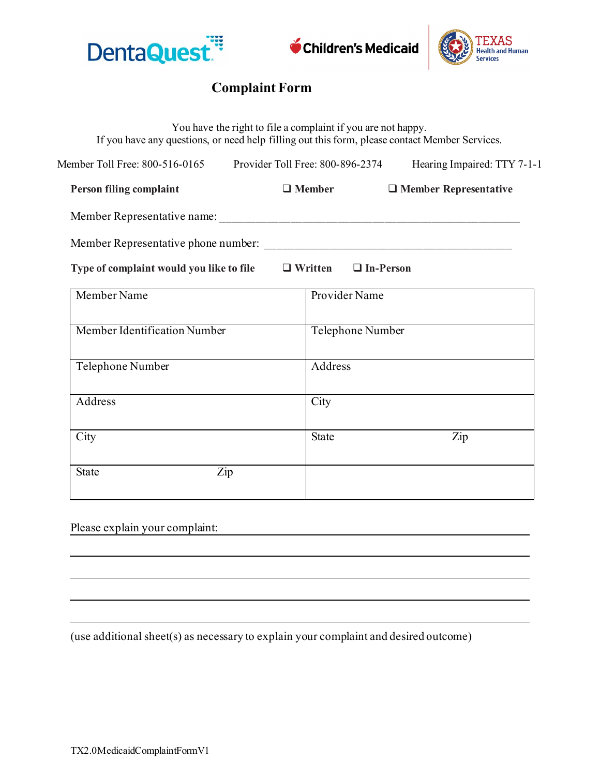



## **Complaint Form**

| If you have any questions, or need help filling out this form, please contact Member Services. | You have the right to file a complaint if you are not happy.    |                  |                              |
|------------------------------------------------------------------------------------------------|-----------------------------------------------------------------|------------------|------------------------------|
|                                                                                                | Member Toll Free: 800-516-0165 Provider Toll Free: 800-896-2374 |                  | Hearing Impaired: TTY 7-1-1  |
| Person filing complaint                                                                        | $\Box$ Member                                                   |                  | $\Box$ Member Representative |
|                                                                                                |                                                                 |                  |                              |
|                                                                                                |                                                                 |                  |                              |
| Type of complaint would you like to file $\Box$ Written $\Box$ In-Person                       |                                                                 |                  |                              |
| Member Name                                                                                    |                                                                 | Provider Name    |                              |
| Member Identification Number                                                                   |                                                                 | Telephone Number |                              |
| Telephone Number                                                                               |                                                                 | Address          |                              |
| Address                                                                                        | City                                                            |                  |                              |
| City                                                                                           | State                                                           |                  | Zip                          |
| <b>State</b>                                                                                   | Zip                                                             |                  |                              |

Please explain your complaint:

(use additional sheet(s) as necessary to explain your complaint and desired outcome)